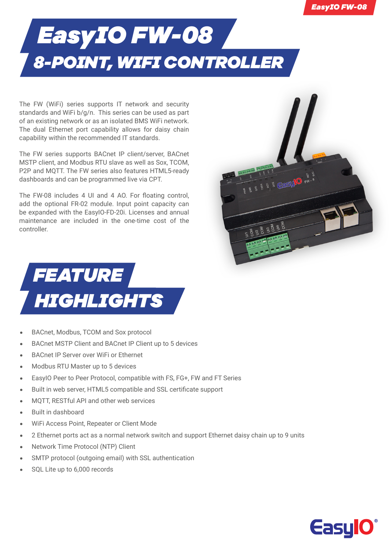## *EasyIO FW-08 8-POINT, WIFI CONTROLLER*

The FW (WiFi) series supports IT network and security standards and WiFi b/g/n. This series can be used as part of an existing network or as an isolated BMS WiFi network. The dual Ethernet port capability allows for daisy chain capability within the recommended IT standards.

The FW series supports BACnet IP client/server, BACnet MSTP client, and Modbus RTU slave as well as Sox, TCOM, P2P and MQTT. The FW series also features HTML5-ready dashboards and can be programmed live via CPT.

The FW-08 includes 4 UI and 4 AO. For floating control, add the optional FR-02 module. Input point capacity can be expanded with the EasyIO-FD-20i. Licenses and annual maintenance are included in the one-time cost of the controller.





- **•** BACnet, Modbus, TCOM and Sox protocol
- **•** BACnet MSTP Client and BACnet IP Client up to 5 devices
- **•** BACnet IP Server over WiFi or Ethernet
- **•** Modbus RTU Master up to 5 devices
- **•** EasyIO Peer to Peer Protocol, compatible with FS, FG+, FW and FT Series
- **•** Built in web server, HTML5 compatible and SSL certificate support
- **•** MQTT, RESTful API and other web services
- **•** Built in dashboard
- **•** WiFi Access Point, Repeater or Client Mode
- **•** 2 Ethernet ports act as a normal network switch and support Ethernet daisy chain up to 9 units
- **•** Network Time Protocol (NTP) Client
- **•** SMTP protocol (outgoing email) with SSL authentication
- **•** SQL Lite up to 6,000 records